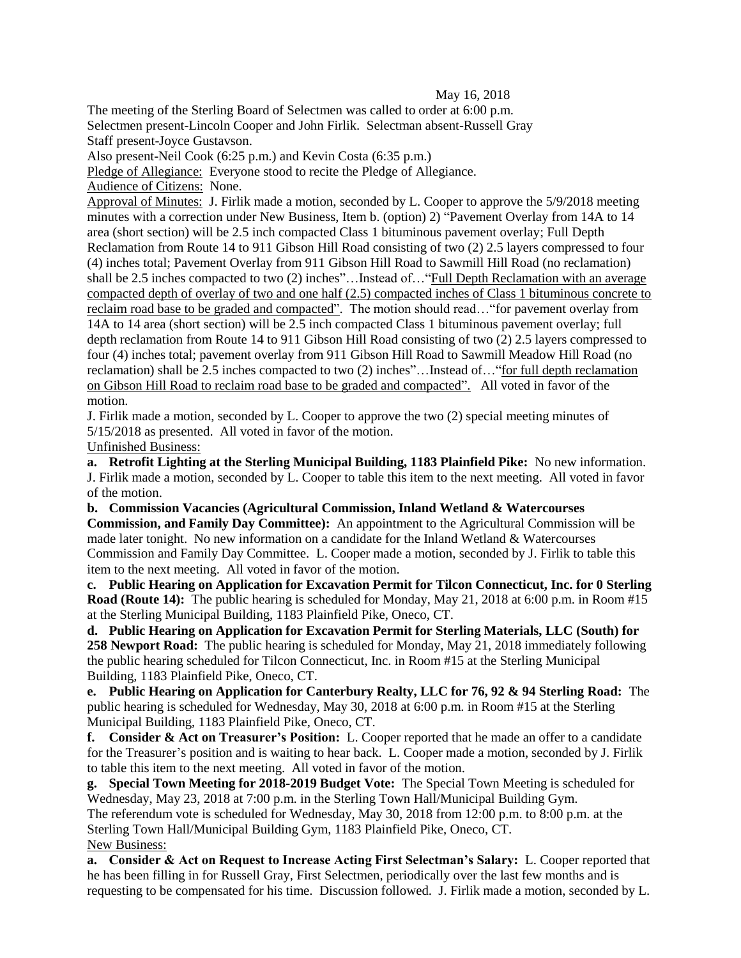## May 16, 2018

The meeting of the Sterling Board of Selectmen was called to order at 6:00 p.m. Selectmen present-Lincoln Cooper and John Firlik. Selectman absent-Russell Gray Staff present-Joyce Gustavson.

Also present-Neil Cook (6:25 p.m.) and Kevin Costa (6:35 p.m.)

Pledge of Allegiance: Everyone stood to recite the Pledge of Allegiance.

Audience of Citizens: None.

Approval of Minutes: J. Firlik made a motion, seconded by L. Cooper to approve the 5/9/2018 meeting minutes with a correction under New Business, Item b. (option) 2) "Pavement Overlay from 14A to 14 area (short section) will be 2.5 inch compacted Class 1 bituminous pavement overlay; Full Depth Reclamation from Route 14 to 911 Gibson Hill Road consisting of two (2) 2.5 layers compressed to four (4) inches total; Pavement Overlay from 911 Gibson Hill Road to Sawmill Hill Road (no reclamation) shall be 2.5 inches compacted to two (2) inches"…Instead of…"Full Depth Reclamation with an average compacted depth of overlay of two and one half (2.5) compacted inches of Class 1 bituminous concrete to reclaim road base to be graded and compacted". The motion should read…"for pavement overlay from 14A to 14 area (short section) will be 2.5 inch compacted Class 1 bituminous pavement overlay; full depth reclamation from Route 14 to 911 Gibson Hill Road consisting of two (2) 2.5 layers compressed to four (4) inches total; pavement overlay from 911 Gibson Hill Road to Sawmill Meadow Hill Road (no reclamation) shall be 2.5 inches compacted to two (2) inches"…Instead of…"for full depth reclamation on Gibson Hill Road to reclaim road base to be graded and compacted". All voted in favor of the motion.

J. Firlik made a motion, seconded by L. Cooper to approve the two (2) special meeting minutes of 5/15/2018 as presented. All voted in favor of the motion.

Unfinished Business:

**a. Retrofit Lighting at the Sterling Municipal Building, 1183 Plainfield Pike:** No new information. J. Firlik made a motion, seconded by L. Cooper to table this item to the next meeting. All voted in favor of the motion.

**b. Commission Vacancies (Agricultural Commission, Inland Wetland & Watercourses Commission, and Family Day Committee):** An appointment to the Agricultural Commission will be made later tonight. No new information on a candidate for the Inland Wetland & Watercourses Commission and Family Day Committee. L. Cooper made a motion, seconded by J. Firlik to table this item to the next meeting. All voted in favor of the motion.

**c. Public Hearing on Application for Excavation Permit for Tilcon Connecticut, Inc. for 0 Sterling Road (Route 14):** The public hearing is scheduled for Monday, May 21, 2018 at 6:00 p.m. in Room #15 at the Sterling Municipal Building, 1183 Plainfield Pike, Oneco, CT.

**d. Public Hearing on Application for Excavation Permit for Sterling Materials, LLC (South) for 258 Newport Road:** The public hearing is scheduled for Monday, May 21, 2018 immediately following the public hearing scheduled for Tilcon Connecticut, Inc. in Room #15 at the Sterling Municipal Building, 1183 Plainfield Pike, Oneco, CT.

**e. Public Hearing on Application for Canterbury Realty, LLC for 76, 92 & 94 Sterling Road:** The public hearing is scheduled for Wednesday, May 30, 2018 at 6:00 p.m. in Room #15 at the Sterling Municipal Building, 1183 Plainfield Pike, Oneco, CT.

**f. Consider & Act on Treasurer's Position:** L. Cooper reported that he made an offer to a candidate for the Treasurer's position and is waiting to hear back. L. Cooper made a motion, seconded by J. Firlik to table this item to the next meeting. All voted in favor of the motion.

**g. Special Town Meeting for 2018-2019 Budget Vote:** The Special Town Meeting is scheduled for Wednesday, May 23, 2018 at 7:00 p.m. in the Sterling Town Hall/Municipal Building Gym. The referendum vote is scheduled for Wednesday, May 30, 2018 from 12:00 p.m. to 8:00 p.m. at the Sterling Town Hall/Municipal Building Gym, 1183 Plainfield Pike, Oneco, CT. New Business:

**a. Consider & Act on Request to Increase Acting First Selectman's Salary:** L. Cooper reported that he has been filling in for Russell Gray, First Selectmen, periodically over the last few months and is requesting to be compensated for his time. Discussion followed. J. Firlik made a motion, seconded by L.